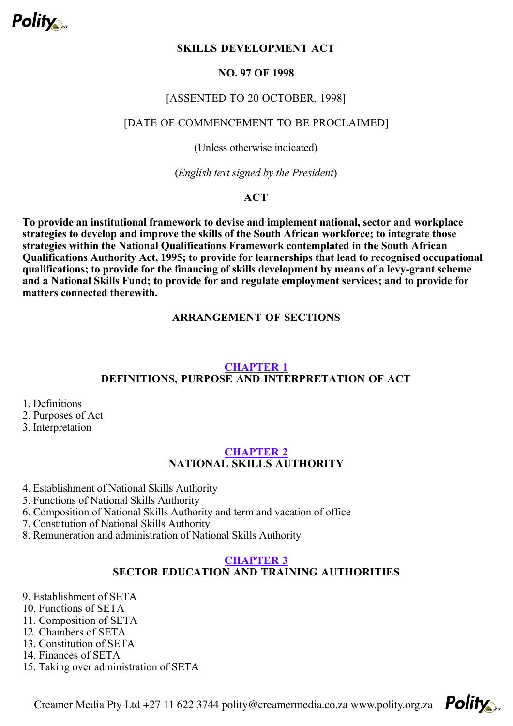

# **SKILLS DEVELOPMENT ACT**

#### **NO. 97 OF 1998**

#### [ASSENTED TO 20 OCTOBER, 1998]

#### [DATE OF COMMENCEMENT TO BE PROCLAIMED]

(Unless otherwise indicated)

(*English text signed by the President*)

# **ACT**

**To provide an institutional framework to devise and implement national, sector and workplace strategies to develop and improve the skills of the South African workforce; to integrate those strategies within the National Qualifications Framework contemplated in the South African Qualifications Authority Act, 1995; to provide for learnerships that lead to recognised occupational qualifications; to provide for the financing of skills development by means of a levy-grant scheme and a National Skills Fund; to provide for and regulate employment services; and to provide for matters connected therewith.**

#### **ARRANGEMENT OF SECTIONS**

#### **DEFINITIONS, PURPOSE AND INTERPRETATION OF ACT CHAPTER 1**

- 1. Definitions
- 2. Purposes of Act
- 3. Interpretation

#### **CHAPTER 2**

# **NATIONAL SKILLS AUTHORITY**

- 4. Establishment of National Skills Authority
- 5. Functions of National Skills Authority
- 6. Composition of National Skills Authority and term and vacation of office
- 7. Constitution of National Skills Authority
- 8. Remuneration and administration of National Skills Authority

#### **CHAPTER 3**

# **SECTOR EDUCATION AND TRAINING AUTHORITIES**

- 9. Establishment of SETA
- 10. Functions of SETA
- 11. Composition of SETA
- 12. Chambers of SETA
- 13. Constitution of SETA
- 14. Finances of SETA
- 15. Taking over administration of SETA

Creamer Media Pty Ltd +27 11 622 3744 polity@creamermedia.co.za www.polity.org.za

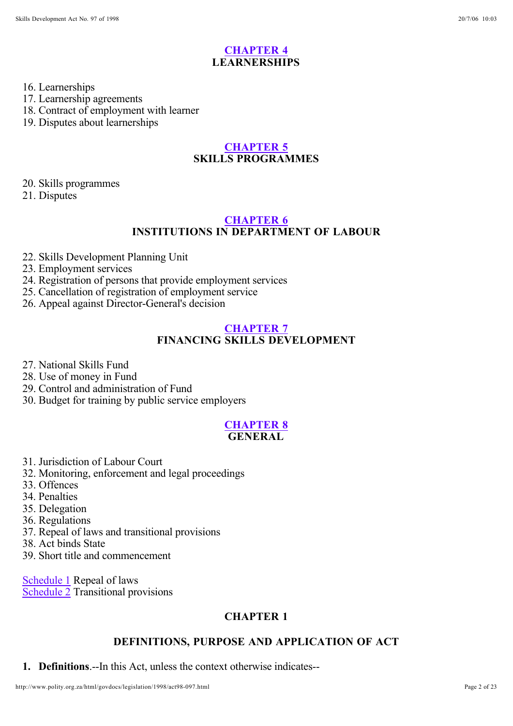# **LEARNERSHIPS CHAPTER 4**

#### 16. Learnerships

17. Learnership agreements

18. Contract of employment with learner

19. Disputes about learnerships

### **SKILLS PROGRAMMES CHAPTER 5**

20. Skills programmes

21. Disputes

### **INSTITUTIONS IN DEPARTMENT OF LABOUR CHAPTER 6**

22. Skills Development Planning Unit

23. Employment services

24. Registration of persons that provide employment services

25. Cancellation of registration of employment service

26. Appeal against Director-General's decision

# **CHAPTER 7**

# **FINANCING SKILLS DEVELOPMENT**

- 27. National Skills Fund
- 28. Use of money in Fund
- 29. Control and administration of Fund
- 30. Budget for training by public service employers

#### **GENERAL CHAPTER 8**

- 31. Jurisdiction of Labour Court
- 32. Monitoring, enforcement and legal proceedings
- 33. Offences
- 34. Penalties
- 35. Delegation
- 36. Regulations
- 37. Repeal of laws and transitional provisions
- 38. Act binds State
- 39. Short title and commencement

Schedule 1 Repeal of laws Schedule 2 Transitional provisions

# **CHAPTER 1**

# **DEFINITIONS, PURPOSE AND APPLICATION OF ACT**

**1. Definitions**.--In this Act, unless the context otherwise indicates--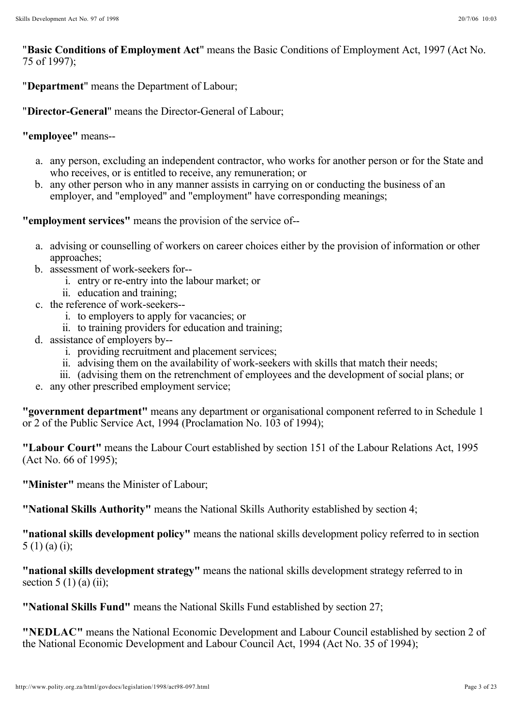"Basic Conditions of Employment Act" means the Basic Conditions of Employment Act, 1997 (Act No. 75 of 1997);

"**Department**" means the Department of Labour;

"**Director-General**" means the Director-General of Labour;

# **"employee"** means--

- a. any person, excluding an independent contractor, who works for another person or for the State and who receives, or is entitled to receive, any remuneration; or
- b. any other person who in any manner assists in carrying on or conducting the business of an employer, and "employed" and "employment" have corresponding meanings;

**"employment services"** means the provision of the service of--

- a. advising or counselling of workers on career choices either by the provision of information or other approaches;
- b. assessment of work-seekers for-
	- i. entry or re-entry into the labour market; or
	- ii. education and training;
- c. the reference of work-seekers-
	- i. to employers to apply for vacancies; or
	- ii. to training providers for education and training;
- d. assistance of employers by-
	- i. providing recruitment and placement services;
	- ii. advising them on the availability of work-seekers with skills that match their needs;
	- iii. (advising them on the retrenchment of employees and the development of social plans; or
- e. any other prescribed employment service;

"government department" means any department or organisational component referred to in Schedule 1 or 2 of the Public Service Act, 1994 (Proclamation No. 103 of 1994);

"Labour Court" means the Labour Court established by section 151 of the Labour Relations Act, 1995 (Act No. 66 of 1995);

**"Minister"** means the Minister of Labour;

**"National Skills Authority"** means the National Skills Authority established by section 4;

"national skills development policy" means the national skills development policy referred to in section  $5(1)$  (a) (i);

"national skills development strategy" means the national skills development strategy referred to in section  $5(1)$  (a) (ii);

**"National Skills Fund"** means the National Skills Fund established by section 27;

"NEDLAC" means the National Economic Development and Labour Council established by section 2 of the National Economic Development and Labour Council Act, 1994 (Act No. 35 of 1994);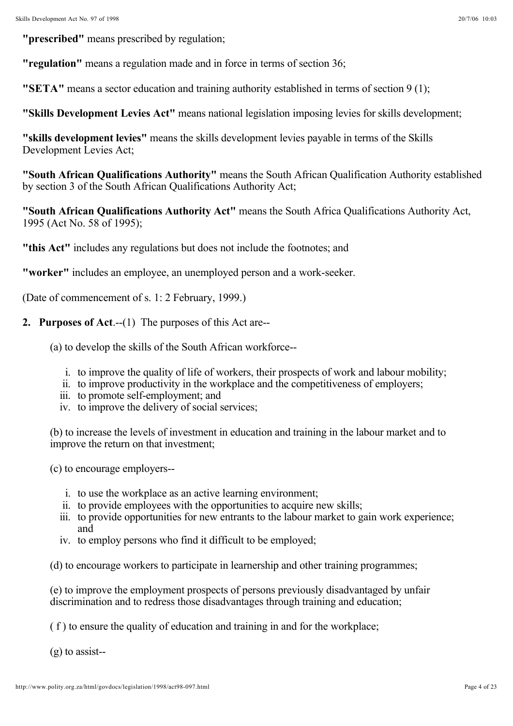**"prescribed"** means prescribed by regulation;

**"regulation"** means a regulation made and in force in terms of section 36;

**"SETA"** means a sector education and training authority established in terms of section 9 (1);

**"Skills Development Levies Act"** means national legislation imposing levies for skills development;

"skills development levies" means the skills development levies payable in terms of the Skills Development Levies Act;

"South African Qualifications Authority" means the South African Qualification Authority established by section 3 of the South African Qualifications Authority Act;

"South African Qualifications Authority Act" means the South Africa Qualifications Authority Act, 1995 (Act No. 58 of 1995);

**"this Act"** includes any regulations but does not include the footnotes; and

**"worker"** includes an employee, an unemployed person and a work-seeker.

(Date of commencement of s. 1: 2 February, 1999.)

- **2. Purposes of Act**.--(1) The purposes of this Act are--
	- (a) to develop the skills of the South African workforce-
		- i. to improve the quality of life of workers, their prospects of work and labour mobility;
		- ii. to improve productivity in the workplace and the competitiveness of employers;
		- iii. to promote self-employment; and
		- iv. to improve the delivery of social services;

(b) to increase the levels of investment in education and training in the labour market and to improve the return on that investment;

(c) to encourage employers--

- i. to use the workplace as an active learning environment;
- ii. to provide employees with the opportunities to acquire new skills;
- iii. to provide opportunities for new entrants to the labour market to gain work experience; and
- iv. to employ persons who find it difficult to be employed;

(d) to encourage workers to participate in learnership and other training programmes;

(e) to improve the employment prospects of persons previously disadvantaged by unfair discrimination and to redress those disadvantages through training and education;

( f ) to ensure the quality of education and training in and for the workplace;

(g) to assist--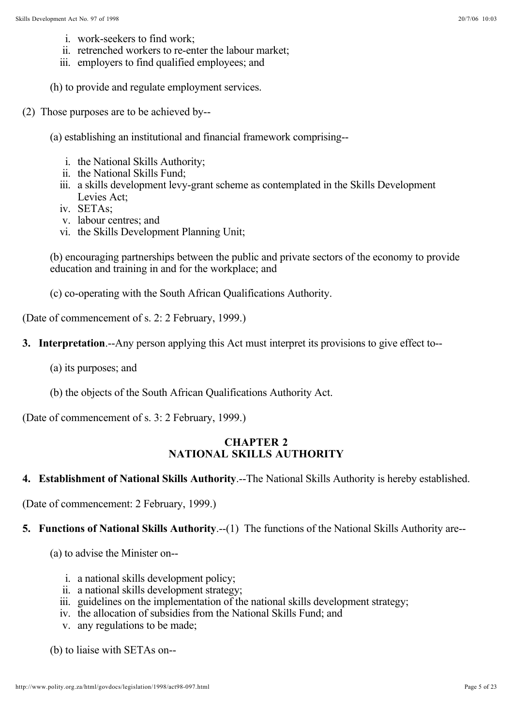- i. work-seekers to find work;
- ii. retrenched workers to re-enter the labour market;
- iii. employers to find qualified employees; and
- (h) to provide and regulate employment services.
- (2) Those purposes are to be achieved by--
	- (a) establishing an institutional and financial framework comprising-
		- i. the National Skills Authority;
		- ii. the National Skills Fund;
		- iii. a skills development levy-grant scheme as contemplated in the Skills Development Levies Act;
		- iv. SETAs;
		- v. labour centres; and
		- vi. the Skills Development Planning Unit;

(b) encouraging partnerships between the public and private sectors of the economy to provide education and training in and for the workplace; and

(c) co-operating with the South African Qualifications Authority.

(Date of commencement of s. 2: 2 February, 1999.)

- **3. Interpretation**.--Any person applying this Act must interpret its provisions to give effect to--
	- (a) its purposes; and
	- (b) the objects of the South African Qualifications Authority Act.

(Date of commencement of s. 3: 2 February, 1999.)

#### **CHAPTER 2 NATIONAL SKILLS AUTHORITY**

#### **4. Establishment of National Skills Authority**.--The National Skills Authority is hereby established.

(Date of commencement: 2 February, 1999.)

# **5. Functions of National Skills Authority**.--(1) The functions of the National Skills Authority are--

(a) to advise the Minister on--

- i. a national skills development policy;
- ii. a national skills development strategy;
- iii. guidelines on the implementation of the national skills development strategy;
- iv. the allocation of subsidies from the National Skills Fund; and
- v. any regulations to be made;

(b) to liaise with SETAs on--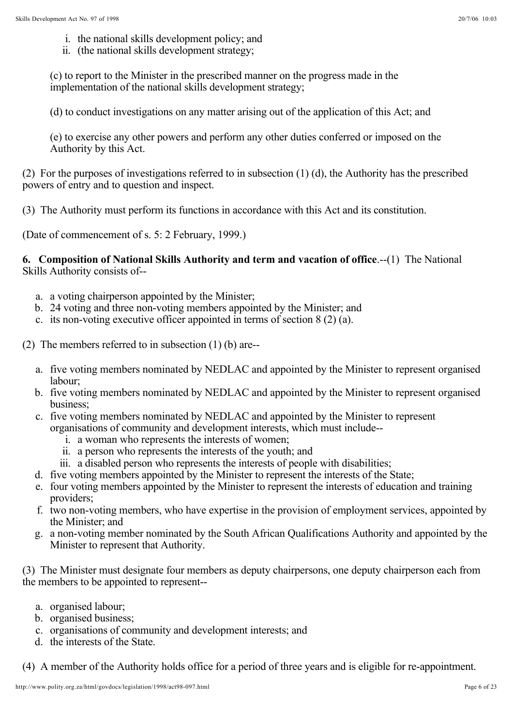- i. the national skills development policy; and
- ii. (the national skills development strategy;

(c) to report to the Minister in the prescribed manner on the progress made in the implementation of the national skills development strategy;

(d) to conduct investigations on any matter arising out of the application of this Act; and

(e) to exercise any other powers and perform any other duties conferred or imposed on the Authority by this Act.

(2) For the purposes of investigations referred to in subsection (1) (d), the Authority has the prescribed powers of entry and to question and inspect.

(3) The Authority must perform its functions in accordance with this Act and its constitution.

(Date of commencement of s. 5: 2 February, 1999.)

**6. Composition of National Skills Authority and term and vacation of office.--(1)** The National Skills Authority consists of--

- a. a voting chairperson appointed by the Minister;
- b. 24 voting and three non-voting members appointed by the Minister; and
- c. its non-voting executive officer appointed in terms of section 8 (2) (a).

(2) The members referred to in subsection (1) (b) are--

- a. five voting members nominated by NEDLAC and appointed by the Minister to represent organised labour;
- b. five voting members nominated by NEDLAC and appointed by the Minister to represent organised business;
- c. five voting members nominated by NEDLAC and appointed by the Minister to represent organisations of community and development interests, which must include-
	- i. a woman who represents the interests of women;
	- ii. a person who represents the interests of the youth; and
	- iii. a disabled person who represents the interests of people with disabilities;
- d. five voting members appointed by the Minister to represent the interests of the State;
- e. four voting members appointed by the Minister to represent the interests of education and training providers;
- f. two non-voting members, who have expertise in the provision of employment services, appointed by the Minister; and
- g. a non-voting member nominated by the South African Qualifications Authority and appointed by the Minister to represent that Authority.

(3) The Minister must designate four members as deputy chairpersons, one deputy chairperson each from the members to be appointed to represent--

- a. organised labour;
- b. organised business;
- c. organisations of community and development interests; and
- d. the interests of the State.

(4) A member of the Authority holds office for a period of three years and is eligible for re-appointment.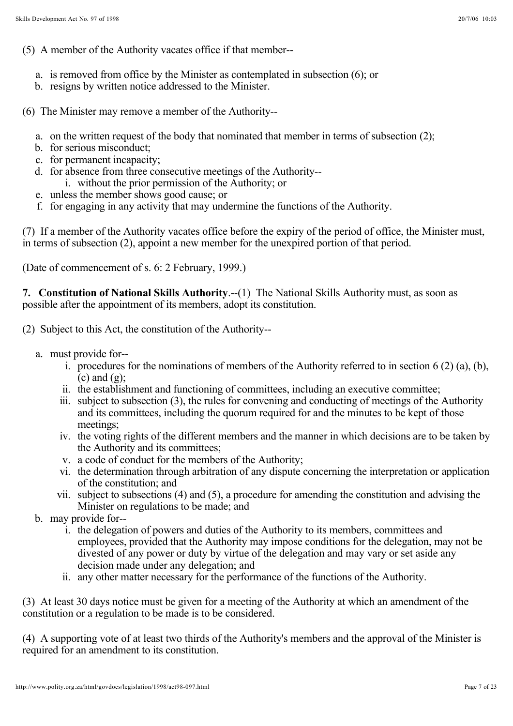(5) A member of the Authority vacates office if that member--

- a. is removed from office by the Minister as contemplated in subsection (6); or
- b. resigns by written notice addressed to the Minister.

(6) The Minister may remove a member of the Authority--

- a. on the written request of the body that nominated that member in terms of subsection (2);
- b. for serious misconduct;
- c. for permanent incapacity;
- d. for absence from three consecutive meetings of the Authority-
	- i. without the prior permission of the Authority; or
- e. unless the member shows good cause; or
- f. for engaging in any activity that may undermine the functions of the Authority.

(7) If a member of the Authority vacates office before the expiry of the period of office, the Minister must, in terms of subsection (2), appoint a new member for the unexpired portion of that period.

(Date of commencement of s. 6: 2 February, 1999.)

7. Constitution of National Skills Authority .-- (1) The National Skills Authority must, as soon as possible after the appointment of its members, adopt its constitution.

(2) Subject to this Act, the constitution of the Authority--

- a. must provide for-
	- i. procedures for the nominations of members of the Authority referred to in section 6 (2) (a), (b),  $(c)$  and  $(g)$ :
	- ii. the establishment and functioning of committees, including an executive committee;
	- iii. subject to subsection (3), the rules for convening and conducting of meetings of the Authority and its committees, including the quorum required for and the minutes to be kept of those meetings;
	- iv. the voting rights of the different members and the manner in which decisions are to be taken by the Authority and its committees;
	- v. a code of conduct for the members of the Authority;
	- vi. the determination through arbitration of any dispute concerning the interpretation or application of the constitution; and
	- vii. subject to subsections (4) and (5), a procedure for amending the constitution and advising the Minister on regulations to be made; and
- b. may provide for-
	- i. the delegation of powers and duties of the Authority to its members, committees and employees, provided that the Authority may impose conditions for the delegation, may not be divested of any power or duty by virtue of the delegation and may vary or set aside any decision made under any delegation; and
	- ii. any other matter necessary for the performance of the functions of the Authority.

(3) At least 30 days notice must be given for a meeting of the Authority at which an amendment of the constitution or a regulation to be made is to be considered.

(4) A supporting vote of at least two thirds of the Authority's members and the approval of the Minister is required for an amendment to its constitution.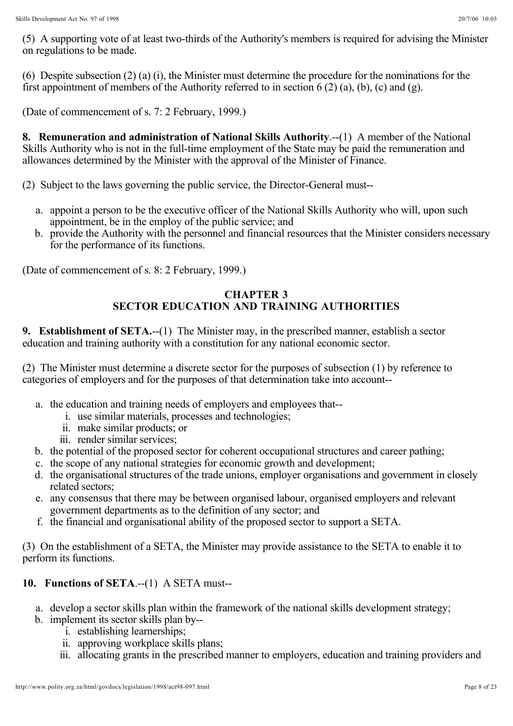(5) A supporting vote of at least two-thirds of the Authority's members is required for advising the Minister on regulations to be made.

(6) Despite subsection (2) (a) (i), the Minister must determine the procedure for the nominations for the first appointment of members of the Authority referred to in section 6 (2) (a), (b), (c) and (g).

(Date of commencement of s. 7: 2 February, 1999.)

**8. Remuneration and administration of National Skills Authority.--(1)** A member of the National Skills Authority who is not in the full-time employment of the State may be paid the remuneration and allowances determined by the Minister with the approval of the Minister of Finance.

(2) Subject to the laws governing the public service, the Director-General must--

- a. appoint a person to be the executive officer of the National Skills Authority who will, upon such appointment, be in the employ of the public service; and
- b. provide the Authority with the personnel and financial resources that the Minister considers necessary for the performance of its functions.

(Date of commencement of s. 8: 2 February, 1999.)

# **CHAPTER 3 SECTOR EDUCATION AND TRAINING AUTHORITIES**

**9. Establishment of SETA.--(1)** The Minister may, in the prescribed manner, establish a sector education and training authority with a constitution for any national economic sector.

(2) The Minister must determine a discrete sector for the purposes of subsection (1) by reference to categories of employers and for the purposes of that determination take into account--

- a. the education and training needs of employers and employees that-
	- i. use similar materials, processes and technologies;
	- ii. make similar products; or
	- iii. render similar services;
- b. the potential of the proposed sector for coherent occupational structures and career pathing;
- c. the scope of any national strategies for economic growth and development;
- d. the organisational structures of the trade unions, employer organisations and government in closely related sectors;
- e. any consensus that there may be between organised labour, organised employers and relevant government departments as to the definition of any sector; and
- f. the financial and organisational ability of the proposed sector to support a SETA.

(3) On the establishment of a SETA, the Minister may provide assistance to the SETA to enable it to perform its functions.

# **10. Functions of SETA**.--(1) A SETA must--

- a. develop a sector skills plan within the framework of the national skills development strategy;
- b. implement its sector skills plan by-
	- i. establishing learnerships;
	- ii. approving workplace skills plans;
	- iii. allocating grants in the prescribed manner to employers, education and training providers and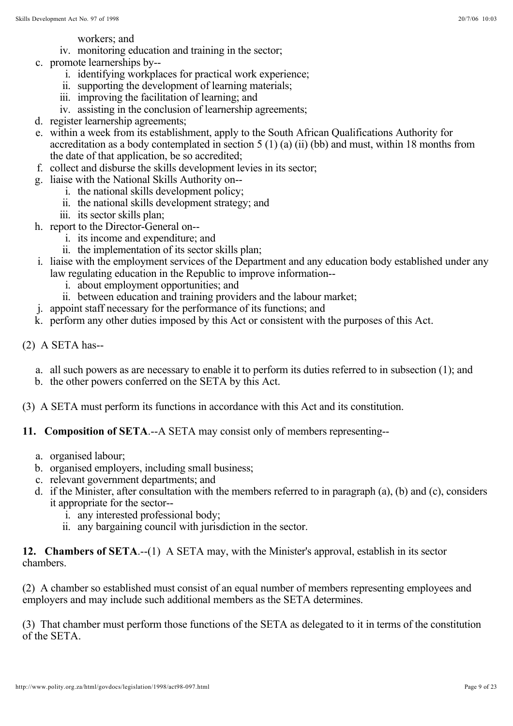workers; and

- iv. monitoring education and training in the sector;
- c. promote learnerships by-
	- i. identifying workplaces for practical work experience;
	- ii. supporting the development of learning materials;
	- iii. improving the facilitation of learning; and
	- iv. assisting in the conclusion of learnership agreements;
- d. register learnership agreements;
- e. within a week from its establishment, apply to the South African Qualifications Authority for accreditation as a body contemplated in section 5 (1) (a) (ii) (bb) and must, within 18 months from the date of that application, be so accredited;
- f. collect and disburse the skills development levies in its sector;
- g. liaise with the National Skills Authority on-
	- i. the national skills development policy;
		- ii. the national skills development strategy; and
	- iii. its sector skills plan;
- h. report to the Director-General on-
	- i. its income and expenditure; and
	- ii. the implementation of its sector skills plan;
- i. liaise with the employment services of the Department and any education body established under any law regulating education in the Republic to improve information-
	- i. about employment opportunities; and
	- ii. between education and training providers and the labour market;
- j. appoint staff necessary for the performance of its functions; and
- k. perform any other duties imposed by this Act or consistent with the purposes of this Act.
- (2) A SETA has-
	- a. all such powers as are necessary to enable it to perform its duties referred to in subsection (1); and
	- b. the other powers conferred on the SETA by this Act.
- (3) A SETA must perform its functions in accordance with this Act and its constitution.
- **11. Composition of SETA**.--A SETA may consist only of members representing-
	- a. organised labour;
	- b. organised employers, including small business;
	- c. relevant government departments; and
	- d. if the Minister, after consultation with the members referred to in paragraph (a), (b) and (c), considers it appropriate for the sector-
		- i. any interested professional body;
		- ii. any bargaining council with jurisdiction in the sector.

12. Chambers of SETA.--(1) A SETA may, with the Minister's approval, establish in its sector chambers.

(2) A chamber so established must consist of an equal number of members representing employees and employers and may include such additional members as the SETA determines.

(3) That chamber must perform those functions of the SETA as delegated to it in terms of the constitution of the SETA.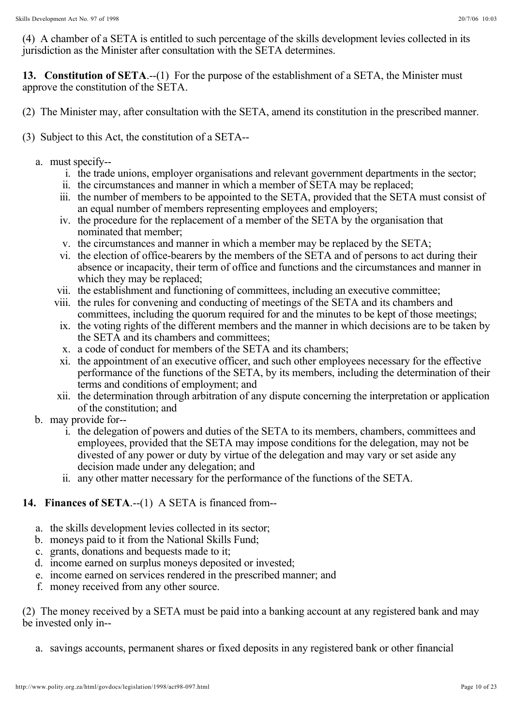(4) A chamber of a SETA is entitled to such percentage of the skills development levies collected in its jurisdiction as the Minister after consultation with the SETA determines.

13. Constitution of SETA.--(1) For the purpose of the establishment of a SETA, the Minister must approve the constitution of the SETA.

- (2) The Minister may, after consultation with the SETA, amend its constitution in the prescribed manner.
- (3) Subject to this Act, the constitution of a SETA-
	- a. must specify-
		- i. the trade unions, employer organisations and relevant government departments in the sector;
		- ii. the circumstances and manner in which a member of SETA may be replaced;
		- iii. the number of members to be appointed to the SETA, provided that the SETA must consist of an equal number of members representing employees and employers;
		- iv. the procedure for the replacement of a member of the SETA by the organisation that nominated that member;
		- v. the circumstances and manner in which a member may be replaced by the SETA;
		- vi. the election of office-bearers by the members of the SETA and of persons to act during their absence or incapacity, their term of office and functions and the circumstances and manner in which they may be replaced;
		- vii. the establishment and functioning of committees, including an executive committee;
		- viii. the rules for convening and conducting of meetings of the SETA and its chambers and committees, including the quorum required for and the minutes to be kept of those meetings;
		- ix. the voting rights of the different members and the manner in which decisions are to be taken by the SETA and its chambers and committees;
		- x. a code of conduct for members of the SETA and its chambers;
		- xi. the appointment of an executive officer, and such other employees necessary for the effective performance of the functions of the SETA, by its members, including the determination of their terms and conditions of employment; and
		- xii. the determination through arbitration of any dispute concerning the interpretation or application of the constitution; and
	- b. may provide for-
		- i. the delegation of powers and duties of the SETA to its members, chambers, committees and employees, provided that the SETA may impose conditions for the delegation, may not be divested of any power or duty by virtue of the delegation and may vary or set aside any decision made under any delegation; and
		- ii. any other matter necessary for the performance of the functions of the SETA.

# **14. Finances of SETA**.--(1) A SETA is financed from--

- a. the skills development levies collected in its sector;
- b. moneys paid to it from the National Skills Fund;
- c. grants, donations and bequests made to it;
- d. income earned on surplus moneys deposited or invested;
- e. income earned on services rendered in the prescribed manner; and
- f. money received from any other source.

(2) The money received by a SETA must be paid into a banking account at any registered bank and may be invested only in--

a. savings accounts, permanent shares or fixed deposits in any registered bank or other financial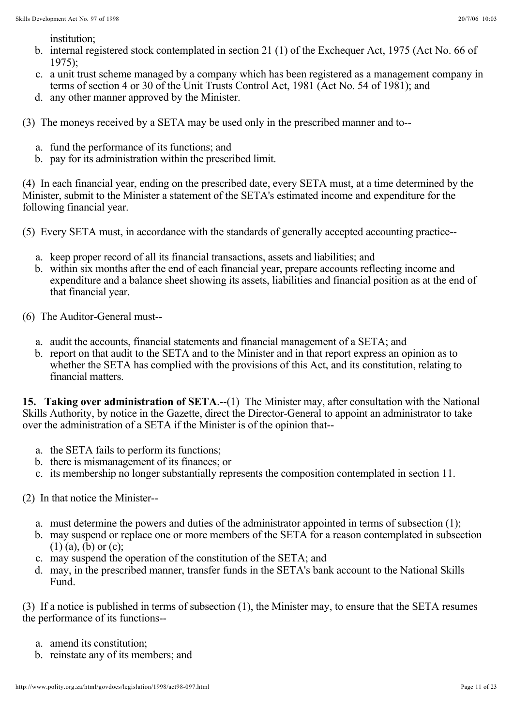institution;

- b. internal registered stock contemplated in section 21 (1) of the Exchequer Act, 1975 (Act No. 66 of 1975);
- c. a unit trust scheme managed by a company which has been registered as a management company in terms of section 4 or 30 of the Unit Trusts Control Act, 1981 (Act No. 54 of 1981); and
- d. any other manner approved by the Minister.

(3) The moneys received by a SETA may be used only in the prescribed manner and to--

- a. fund the performance of its functions; and
- b. pay for its administration within the prescribed limit.

(4) In each financial year, ending on the prescribed date, every SETA must, at a time determined by the Minister, submit to the Minister a statement of the SETA's estimated income and expenditure for the following financial year.

(5) Every SETA must, in accordance with the standards of generally accepted accounting practice--

- a. keep proper record of all its financial transactions, assets and liabilities; and
- b. within six months after the end of each financial year, prepare accounts reflecting income and expenditure and a balance sheet showing its assets, liabilities and financial position as at the end of that financial year.
- (6) The Auditor-General must-
	- a. audit the accounts, financial statements and financial management of a SETA; and
	- b. report on that audit to the SETA and to the Minister and in that report express an opinion as to whether the SETA has complied with the provisions of this Act, and its constitution, relating to financial matters.

15. Taking over administration of SETA.--(1) The Minister may, after consultation with the National Skills Authority, by notice in the Gazette, direct the Director-General to appoint an administrator to take over the administration of a SETA if the Minister is of the opinion that--

- a. the SETA fails to perform its functions;
- b. there is mismanagement of its finances; or
- c. its membership no longer substantially represents the composition contemplated in section 11.
- (2) In that notice the Minister-
	- a. must determine the powers and duties of the administrator appointed in terms of subsection (1);
	- b. may suspend or replace one or more members of the SETA for a reason contemplated in subsection  $(1)$   $(a)$ ,  $(b)$  or  $(c)$ ;
	- c. may suspend the operation of the constitution of the SETA; and
	- d. may, in the prescribed manner, transfer funds in the SETA's bank account to the National Skills Fund.

(3) If a notice is published in terms of subsection (1), the Minister may, to ensure that the SETA resumes the performance of its functions--

- a. amend its constitution;
- b. reinstate any of its members; and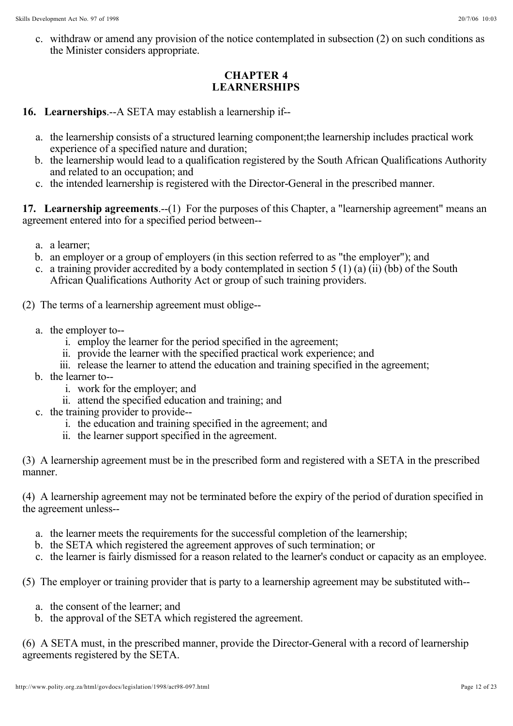c. withdraw or amend any provision of the notice contemplated in subsection (2) on such conditions as the Minister considers appropriate.

# **CHAPTER 4 LEARNERSHIPS**

**16. Learnerships**.--A SETA may establish a learnership if--

- a. the learnership consists of a structured learning component;the learnership includes practical work experience of a specified nature and duration;
- b. the learnership would lead to a qualification registered by the South African Qualifications Authority and related to an occupation; and
- c. the intended learnership is registered with the Director-General in the prescribed manner.

17. Learnership agreements.--(1) For the purposes of this Chapter, a "learnership agreement" means an agreement entered into for a specified period between--

- a. a learner;
- b. an employer or a group of employers (in this section referred to as "the employer"); and
- c. a training provider accredited by a body contemplated in section 5 (1) (a) (ii) (bb) of the South African Qualifications Authority Act or group of such training providers.

(2) The terms of a learnership agreement must oblige--

- a. the employer to-
	- i. employ the learner for the period specified in the agreement;
	- ii. provide the learner with the specified practical work experience; and
	- iii. release the learner to attend the education and training specified in the agreement;
- b. the learner to-
	- i. work for the employer; and
	- ii. attend the specified education and training; and
- c. the training provider to provide-
	- i. the education and training specified in the agreement; and
	- ii. the learner support specified in the agreement.

(3) A learnership agreement must be in the prescribed form and registered with a SETA in the prescribed manner.

(4) A learnership agreement may not be terminated before the expiry of the period of duration specified in the agreement unless--

- a. the learner meets the requirements for the successful completion of the learnership;
- b. the SETA which registered the agreement approves of such termination; or
- c. the learner is fairly dismissed for a reason related to the learner's conduct or capacity as an employee.

(5) The employer or training provider that is party to a learnership agreement may be substituted with--

- a. the consent of the learner; and
- b. the approval of the SETA which registered the agreement.

(6) A SETA must, in the prescribed manner, provide the Director-General with a record of learnership agreements registered by the SETA.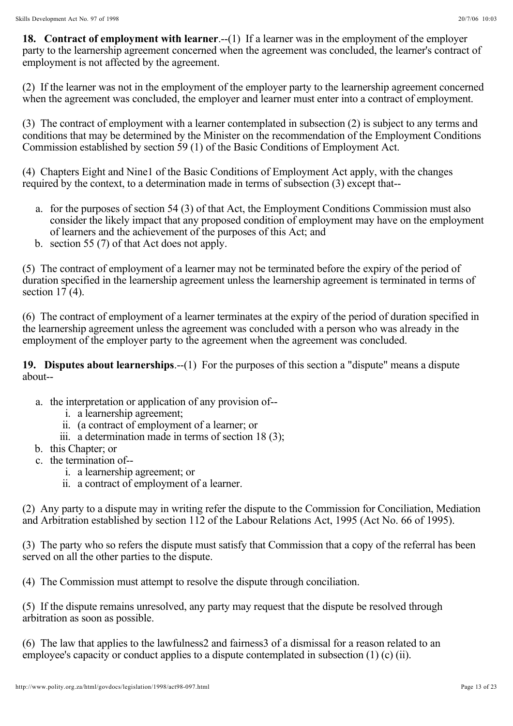18. Contract of employment with learner.--(1) If a learner was in the employment of the employer party to the learnership agreement concerned when the agreement was concluded, the learner's contract of employment is not affected by the agreement.

(2) If the learner was not in the employment of the employer party to the learnership agreement concerned when the agreement was concluded, the employer and learner must enter into a contract of employment.

(3) The contract of employment with a learner contemplated in subsection (2) is subject to any terms and conditions that may be determined by the Minister on the recommendation of the Employment Conditions Commission established by section 59 (1) of the Basic Conditions of Employment Act.

(4) Chapters Eight and Nine1 of the Basic Conditions of Employment Act apply, with the changes required by the context, to a determination made in terms of subsection (3) except that--

- a. for the purposes of section 54 (3) of that Act, the Employment Conditions Commission must also consider the likely impact that any proposed condition of employment may have on the employment of learners and the achievement of the purposes of this Act; and
- b. section 55 (7) of that Act does not apply.

(5) The contract of employment of a learner may not be terminated before the expiry of the period of duration specified in the learnership agreement unless the learnership agreement is terminated in terms of section  $17(4)$ .

(6) The contract of employment of a learner terminates at the expiry of the period of duration specified in the learnership agreement unless the agreement was concluded with a person who was already in the employment of the employer party to the agreement when the agreement was concluded.

19. Disputes about learnerships.--(1) For the purposes of this section a "dispute" means a dispute about--

- a. the interpretation or application of any provision of-
	- i. a learnership agreement;
	- ii. (a contract of employment of a learner; or
	- iii. a determination made in terms of section 18 (3);
- b. this Chapter; or
- c. the termination of-
	- i. a learnership agreement; or
	- ii. a contract of employment of a learner.

(2) Any party to a dispute may in writing refer the dispute to the Commission for Conciliation, Mediation and Arbitration established by section 112 of the Labour Relations Act, 1995 (Act No. 66 of 1995).

(3) The party who so refers the dispute must satisfy that Commission that a copy of the referral has been served on all the other parties to the dispute.

(4) The Commission must attempt to resolve the dispute through conciliation.

(5) If the dispute remains unresolved, any party may request that the dispute be resolved through arbitration as soon as possible.

(6) The law that applies to the lawfulness2 and fairness3 of a dismissal for a reason related to an employee's capacity or conduct applies to a dispute contemplated in subsection (1) (c) (ii).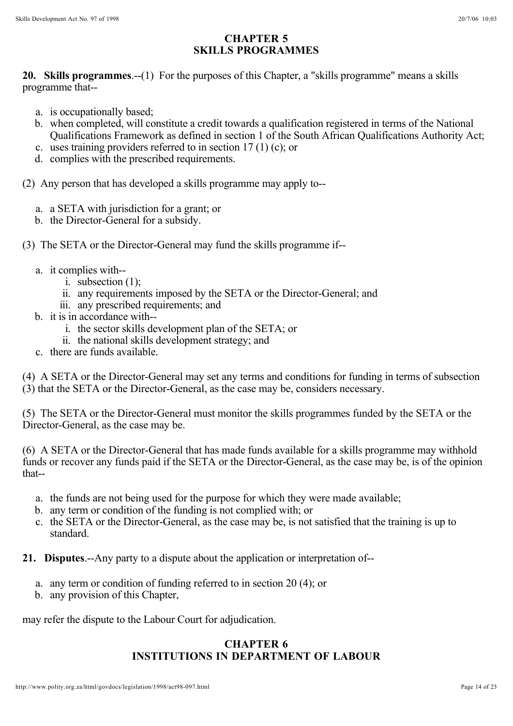# **CHAPTER 5 SKILLS PROGRAMMES**

20. Skills programmes.--(1) For the purposes of this Chapter, a "skills programme" means a skills programme that--

- a. is occupationally based;
- b. when completed, will constitute a credit towards a qualification registered in terms of the National Qualifications Framework as defined in section 1 of the South African Qualifications Authority Act;
- c. uses training providers referred to in section 17 (1) (c); or
- d. complies with the prescribed requirements.

(2) Any person that has developed a skills programme may apply to--

- a. a SETA with jurisdiction for a grant; or
- b. the Director-General for a subsidy.
- (3) The SETA or the Director-General may fund the skills programme if-
	- a. it complies with-
		- i. subsection (1);
		- ii. any requirements imposed by the SETA or the Director-General; and
		- iii. any prescribed requirements; and
	- b. it is in accordance with-
		- i. the sector skills development plan of the SETA; or
		- ii. the national skills development strategy; and
	- c. there are funds available.

(4) A SETA or the Director-General may set any terms and conditions for funding in terms of subsection (3) that the SETA or the Director-General, as the case may be, considers necessary.

(5) The SETA or the Director-General must monitor the skills programmes funded by the SETA or the Director-General, as the case may be.

(6) A SETA or the Director-General that has made funds available for a skills programme may withhold funds or recover any funds paid if the SETA or the Director-General, as the case may be, is of the opinion that--

- a. the funds are not being used for the purpose for which they were made available;
- b. any term or condition of the funding is not complied with; or
- c. the SETA or the Director-General, as the case may be, is not satisfied that the training is up to standard.

**21. Disputes**.--Any party to a dispute about the application or interpretation of--

- a. any term or condition of funding referred to in section 20 (4); or
- b. any provision of this Chapter,

may refer the dispute to the Labour Court for adjudication.

# **CHAPTER 6 INSTITUTIONS IN DEPARTMENT OF LABOUR**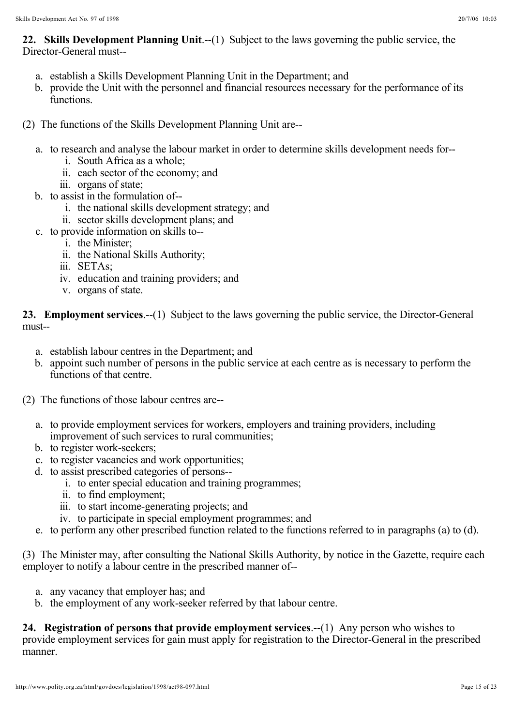22. Skills Development Planning Unit.--(1) Subject to the laws governing the public service, the Director-General must--

- a. establish a Skills Development Planning Unit in the Department; and
- b. provide the Unit with the personnel and financial resources necessary for the performance of its functions.
- (2) The functions of the Skills Development Planning Unit are-
	- a. to research and analyse the labour market in order to determine skills development needs for-
		- i. South Africa as a whole;
		- ii. each sector of the economy; and
		- iii. organs of state;
	- b. to assist in the formulation of-
		- i. the national skills development strategy; and
		- ii. sector skills development plans; and
	- c. to provide information on skills to-
		- i. the Minister;
		- ii. the National Skills Authority;
		- iii. SETAs;
		- iv. education and training providers; and
		- v. organs of state.

23. Employment services.--(1) Subject to the laws governing the public service, the Director-General must--

- a. establish labour centres in the Department; and
- b. appoint such number of persons in the public service at each centre as is necessary to perform the functions of that centre.
- (2) The functions of those labour centres are-
	- a. to provide employment services for workers, employers and training providers, including improvement of such services to rural communities;
	- b. to register work-seekers;
	- c. to register vacancies and work opportunities;
	- d. to assist prescribed categories of persons-
		- i. to enter special education and training programmes;
		- ii. to find employment;
		- iii. to start income-generating projects; and
		- iv. to participate in special employment programmes; and
	- e. to perform any other prescribed function related to the functions referred to in paragraphs (a) to (d).

(3) The Minister may, after consulting the National Skills Authority, by notice in the Gazette, require each employer to notify a labour centre in the prescribed manner of--

- a. any vacancy that employer has; and
- b. the employment of any work-seeker referred by that labour centre.

24. Registration of persons that provide employment services.--(1) Any person who wishes to provide employment services for gain must apply for registration to the Director-General in the prescribed manner.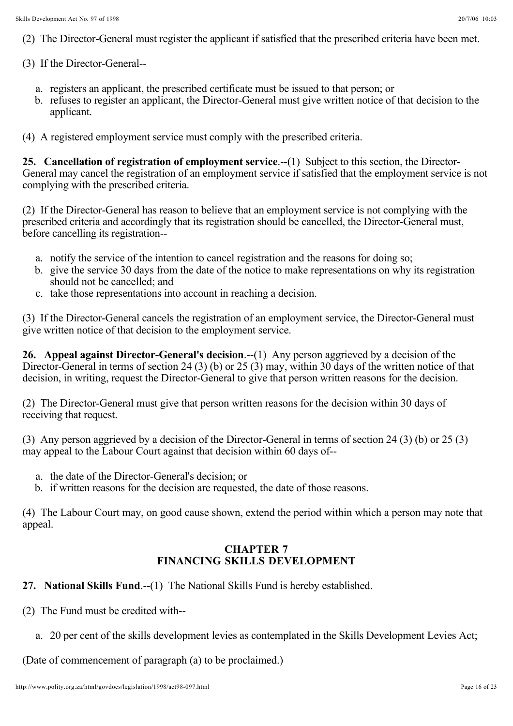- (2) The Director-General must register the applicant if satisfied that the prescribed criteria have been met.
- (3) If the Director-General-
	- a. registers an applicant, the prescribed certificate must be issued to that person; or
	- b. refuses to register an applicant, the Director-General must give written notice of that decision to the applicant.
- (4) A registered employment service must comply with the prescribed criteria.

25. Cancellation of registration of employment service.--(1) Subject to this section, the Director-General may cancel the registration of an employment service if satisfied that the employment service is not complying with the prescribed criteria.

(2) If the Director-General has reason to believe that an employment service is not complying with the prescribed criteria and accordingly that its registration should be cancelled, the Director-General must, before cancelling its registration--

- a. notify the service of the intention to cancel registration and the reasons for doing so;
- b. give the service 30 days from the date of the notice to make representations on why its registration should not be cancelled; and
- c. take those representations into account in reaching a decision.

(3) If the Director-General cancels the registration of an employment service, the Director-General must give written notice of that decision to the employment service.

26. Appeal against Director-General's decision.<sup>--(1)</sup> Any person aggrieved by a decision of the Director-General in terms of section 24 (3) (b) or 25 (3) may, within 30 days of the written notice of that decision, in writing, request the Director-General to give that person written reasons for the decision.

(2) The Director-General must give that person written reasons for the decision within 30 days of receiving that request.

(3) Any person aggrieved by a decision of the Director-General in terms of section 24 (3) (b) or 25 (3) may appeal to the Labour Court against that decision within 60 days of--

- a. the date of the Director-General's decision; or
- b. if written reasons for the decision are requested, the date of those reasons.

(4) The Labour Court may, on good cause shown, extend the period within which a person may note that appeal.

#### **CHAPTER 7 FINANCING SKILLS DEVELOPMENT**

- **27. National Skills Fund.**--(1) The National Skills Fund is hereby established.
- (2) The Fund must be credited with-
	- a. 20 per cent of the skills development levies as contemplated in the Skills Development Levies Act;

(Date of commencement of paragraph (a) to be proclaimed.)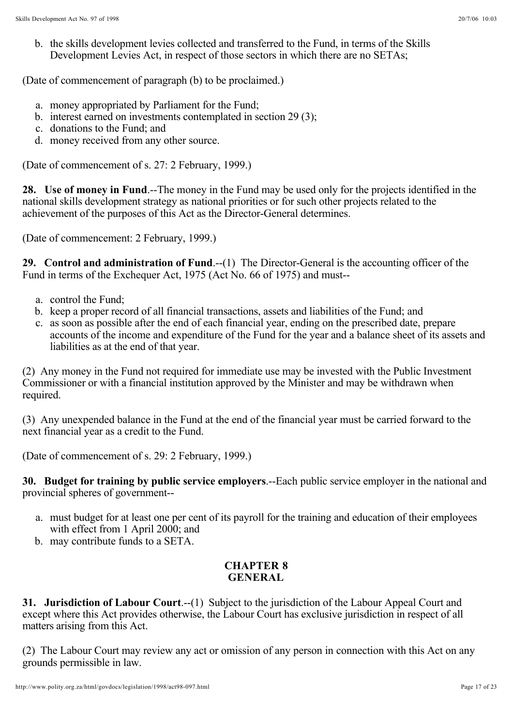b. the skills development levies collected and transferred to the Fund, in terms of the Skills Development Levies Act, in respect of those sectors in which there are no SETAs;

(Date of commencement of paragraph (b) to be proclaimed.)

- a. money appropriated by Parliament for the Fund;
- b. interest earned on investments contemplated in section 29 (3);
- c. donations to the Fund; and
- d. money received from any other source.

(Date of commencement of s. 27: 2 February, 1999.)

28. Use of money in Fund .--The money in the Fund may be used only for the projects identified in the national skills development strategy as national priorities or for such other projects related to the achievement of the purposes of this Act as the Director-General determines.

(Date of commencement: 2 February, 1999.)

29. Control and administration of Fund.--(1) The Director-General is the accounting officer of the Fund in terms of the Exchequer Act, 1975 (Act No. 66 of 1975) and must--

- a. control the Fund;
- b. keep a proper record of all financial transactions, assets and liabilities of the Fund; and
- c. as soon as possible after the end of each financial year, ending on the prescribed date, prepare accounts of the income and expenditure of the Fund for the year and a balance sheet of its assets and liabilities as at the end of that year.

(2) Any money in the Fund not required for immediate use may be invested with the Public Investment Commissioner or with a financial institution approved by the Minister and may be withdrawn when required.

(3) Any unexpended balance in the Fund at the end of the financial year must be carried forward to the next financial year as a credit to the Fund.

(Date of commencement of s. 29: 2 February, 1999.)

**30. Budget for training by public service employers.**--Each public service employer in the national and provincial spheres of government--

- a. must budget for at least one per cent of its payroll for the training and education of their employees with effect from 1 April 2000; and
- b. may contribute funds to a SETA.

# **CHAPTER 8 GENERAL**

**31. Jurisdiction of Labour Court.--(1)** Subject to the jurisdiction of the Labour Appeal Court and except where this Act provides otherwise, the Labour Court has exclusive jurisdiction in respect of all matters arising from this Act.

(2) The Labour Court may review any act or omission of any person in connection with this Act on any grounds permissible in law.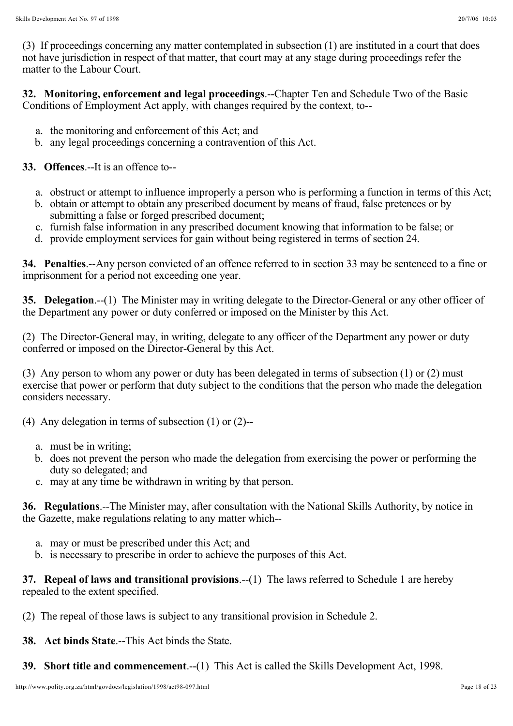(3) If proceedings concerning any matter contemplated in subsection (1) are instituted in a court that does not have jurisdiction in respect of that matter, that court may at any stage during proceedings refer the matter to the Labour Court.

32. Monitoring, enforcement and legal proceedings.--Chapter Ten and Schedule Two of the Basic Conditions of Employment Act apply, with changes required by the context, to--

- a. the monitoring and enforcement of this Act; and
- b. any legal proceedings concerning a contravention of this Act.

# **33. Offences**.--It is an offence to--

- a. obstruct or attempt to influence improperly a person who is performing a function in terms of this Act;
- b. obtain or attempt to obtain any prescribed document by means of fraud, false pretences or by submitting a false or forged prescribed document;
- c. furnish false information in any prescribed document knowing that information to be false; or
- d. provide employment services for gain without being registered in terms of section 24.

34. Penalties.--Any person convicted of an offence referred to in section 33 may be sentenced to a fine or imprisonment for a period not exceeding one year.

**35. Delegation.--(1)** The Minister may in writing delegate to the Director-General or any other officer of the Department any power or duty conferred or imposed on the Minister by this Act.

(2) The Director-General may, in writing, delegate to any officer of the Department any power or duty conferred or imposed on the Director-General by this Act.

(3) Any person to whom any power or duty has been delegated in terms of subsection (1) or (2) must exercise that power or perform that duty subject to the conditions that the person who made the delegation considers necessary.

(4) Any delegation in terms of subsection (1) or (2)--

- a. must be in writing;
- b. does not prevent the person who made the delegation from exercising the power or performing the duty so delegated; and
- c. may at any time be withdrawn in writing by that person.

36. Regulations.--The Minister may, after consultation with the National Skills Authority, by notice in the Gazette, make regulations relating to any matter which--

- a. may or must be prescribed under this Act; and
- b. is necessary to prescribe in order to achieve the purposes of this Act.

37. Repeal of laws and transitional provisions.--(1) The laws referred to Schedule 1 are hereby repealed to the extent specified.

(2) The repeal of those laws is subject to any transitional provision in Schedule 2.

**38. Act binds State**.--This Act binds the State.

**39. Short title and commencement.**--(1) This Act is called the Skills Development Act, 1998.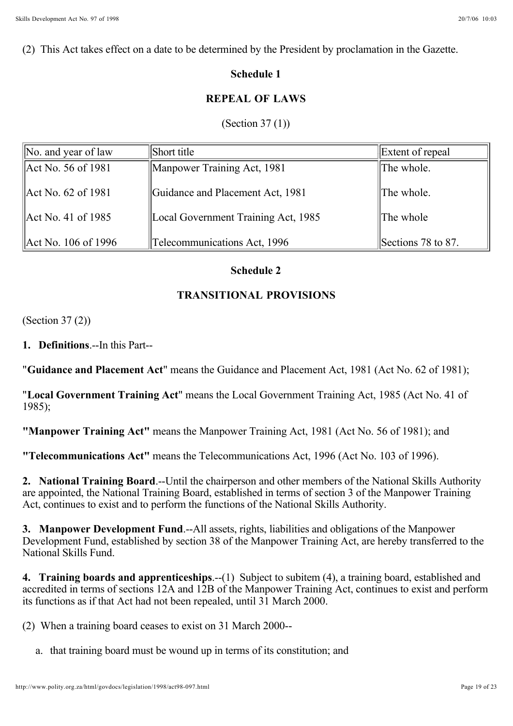#### **Schedule 1**

### **REPEAL OF LAWS**

#### (Section 37 (1))

| $\vert$ No. and year of law | Short title                         | Extent of repeal   |
|-----------------------------|-------------------------------------|--------------------|
| Act No. 56 of 1981          | Manpower Training Act, 1981         | The whole.         |
| Act No. 62 of 1981          | Guidance and Placement Act, 1981    | The whole.         |
| Act No. 41 of 1985          | Local Government Training Act, 1985 | The whole          |
| Act No. 106 of 1996         | Telecommunications Act, 1996        | Sections 78 to 87. |

#### **Schedule 2**

#### **TRANSITIONAL PROVISIONS**

(Section 37 (2))

**1. Definitions**.--In this Part--

"**Guidance and Placement Act**" means the Guidance and Placement Act, 1981 (Act No. 62 of 1981);

"Local Government Training Act" means the Local Government Training Act, 1985 (Act No. 41 of 1985);

**"Manpower Training Act"** means the Manpower Training Act, 1981 (Act No. 56 of 1981); and

**"Telecommunications Act"** means the Telecommunications Act, 1996 (Act No. 103 of 1996).

2. National Training Board.--Until the chairperson and other members of the National Skills Authority are appointed, the National Training Board, established in terms of section 3 of the Manpower Training Act, continues to exist and to perform the functions of the National Skills Authority.

**3. Manpower Development Fund.--All assets, rights, liabilities and obligations of the Manpower** Development Fund, established by section 38 of the Manpower Training Act, are hereby transferred to the National Skills Fund.

4. Training boards and apprenticeships.--(1) Subject to subitem (4), a training board, established and accredited in terms of sections 12A and 12B of the Manpower Training Act, continues to exist and perform its functions as if that Act had not been repealed, until 31 March 2000.

(2) When a training board ceases to exist on 31 March 2000--

a. that training board must be wound up in terms of its constitution; and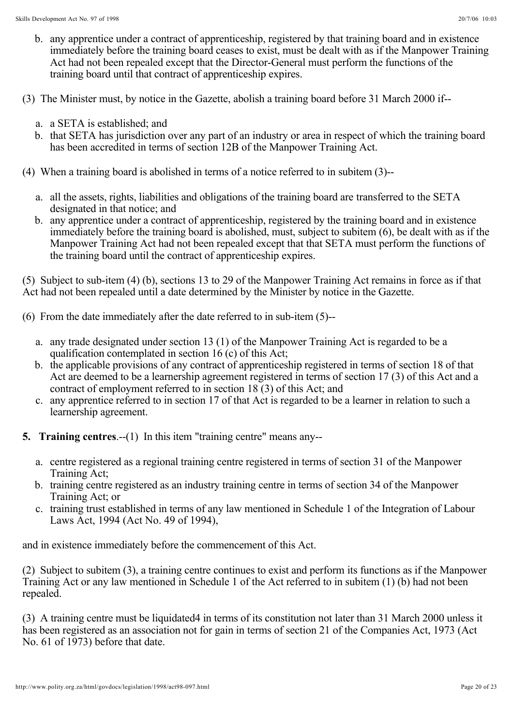- b. any apprentice under a contract of apprenticeship, registered by that training board and in existence immediately before the training board ceases to exist, must be dealt with as if the Manpower Training Act had not been repealed except that the Director-General must perform the functions of the training board until that contract of apprenticeship expires.
- (3) The Minister must, by notice in the Gazette, abolish a training board before 31 March 2000 if-
	- a. a SETA is established; and
	- b. that SETA has jurisdiction over any part of an industry or area in respect of which the training board has been accredited in terms of section 12B of the Manpower Training Act.
- (4) When a training board is abolished in terms of a notice referred to in subitem (3)-
	- a. all the assets, rights, liabilities and obligations of the training board are transferred to the SETA designated in that notice; and
	- b. any apprentice under a contract of apprenticeship, registered by the training board and in existence immediately before the training board is abolished, must, subject to subitem (6), be dealt with as if the Manpower Training Act had not been repealed except that that SETA must perform the functions of the training board until the contract of apprenticeship expires.

(5) Subject to sub-item (4) (b), sections 13 to 29 of the Manpower Training Act remains in force as if that Act had not been repealed until a date determined by the Minister by notice in the Gazette.

- (6) From the date immediately after the date referred to in sub-item (5)-
	- a. any trade designated under section 13 (1) of the Manpower Training Act is regarded to be a qualification contemplated in section 16 (c) of this Act;
	- b. the applicable provisions of any contract of apprenticeship registered in terms of section 18 of that Act are deemed to be a learnership agreement registered in terms of section 17 (3) of this Act and a contract of employment referred to in section 18 (3) of this Act; and
	- c. any apprentice referred to in section 17 of that Act is regarded to be a learner in relation to such a learnership agreement.
- **5. Training centres**.--(1) In this item "training centre" means any-
	- a. centre registered as a regional training centre registered in terms of section 31 of the Manpower Training Act;
	- b. training centre registered as an industry training centre in terms of section 34 of the Manpower Training Act; or
	- c. training trust established in terms of any law mentioned in Schedule 1 of the Integration of Labour Laws Act, 1994 (Act No. 49 of 1994),

and in existence immediately before the commencement of this Act.

(2) Subject to subitem (3), a training centre continues to exist and perform its functions as if the Manpower Training Act or any law mentioned in Schedule 1 of the Act referred to in subitem (1) (b) had not been repealed.

(3) A training centre must be liquidated4 in terms of its constitution not later than 31 March 2000 unless it has been registered as an association not for gain in terms of section 21 of the Companies Act, 1973 (Act No. 61 of 1973) before that date.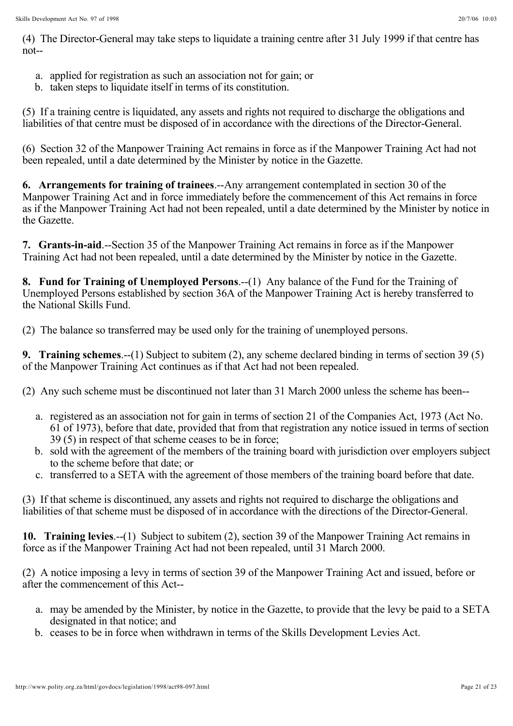(4) The Director-General may take steps to liquidate a training centre after 31 July 1999 if that centre has not--

- a. applied for registration as such an association not for gain; or
- b. taken steps to liquidate itself in terms of its constitution.

(5) If a training centre is liquidated, any assets and rights not required to discharge the obligations and liabilities of that centre must be disposed of in accordance with the directions of the Director-General.

(6) Section 32 of the Manpower Training Act remains in force as if the Manpower Training Act had not been repealed, until a date determined by the Minister by notice in the Gazette.

6. Arrangements for training of trainees.--Any arrangement contemplated in section 30 of the Manpower Training Act and in force immediately before the commencement of this Act remains in force as if the Manpower Training Act had not been repealed, until a date determined by the Minister by notice in the Gazette.

7. Grants-in-aid.--Section 35 of the Manpower Training Act remains in force as if the Manpower Training Act had not been repealed, until a date determined by the Minister by notice in the Gazette.

8. Fund for Training of Unemployed Persons.--(1) Any balance of the Fund for the Training of Unemployed Persons established by section 36A of the Manpower Training Act is hereby transferred to the National Skills Fund.

(2) The balance so transferred may be used only for the training of unemployed persons.

**9. Training schemes.--(1)** Subject to subitem (2), any scheme declared binding in terms of section 39 (5) of the Manpower Training Act continues as if that Act had not been repealed.

(2) Any such scheme must be discontinued not later than 31 March 2000 unless the scheme has been--

- a. registered as an association not for gain in terms of section 21 of the Companies Act, 1973 (Act No. 61 of 1973), before that date, provided that from that registration any notice issued in terms of section 39 (5) in respect of that scheme ceases to be in force;
- b. sold with the agreement of the members of the training board with jurisdiction over employers subject to the scheme before that date; or
- c. transferred to a SETA with the agreement of those members of the training board before that date.

(3) If that scheme is discontinued, any assets and rights not required to discharge the obligations and liabilities of that scheme must be disposed of in accordance with the directions of the Director-General.

10. Training levies.--(1) Subject to subitem (2), section 39 of the Manpower Training Act remains in force as if the Manpower Training Act had not been repealed, until 31 March 2000.

(2) A notice imposing a levy in terms of section 39 of the Manpower Training Act and issued, before or after the commencement of this Act--

- a. may be amended by the Minister, by notice in the Gazette, to provide that the levy be paid to a SETA designated in that notice; and
- b. ceases to be in force when withdrawn in terms of the Skills Development Levies Act.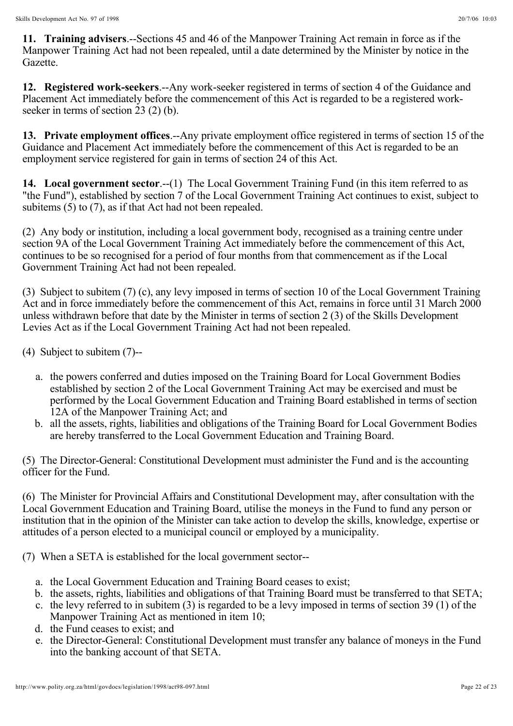11. Training advisers.--Sections 45 and 46 of the Manpower Training Act remain in force as if the Manpower Training Act had not been repealed, until a date determined by the Minister by notice in the Gazette.

12. Registered work-seekers.--Any work-seeker registered in terms of section 4 of the Guidance and Placement Act immediately before the commencement of this Act is regarded to be a registered workseeker in terms of section 23 (2) (b).

13. Private employment offices.--Any private employment office registered in terms of section 15 of the Guidance and Placement Act immediately before the commencement of this Act is regarded to be an employment service registered for gain in terms of section 24 of this Act.

14. Local government sector.--(1) The Local Government Training Fund (in this item referred to as "the Fund"), established by section 7 of the Local Government Training Act continues to exist, subject to subitems (5) to (7), as if that Act had not been repealed.

(2) Any body or institution, including a local government body, recognised as a training centre under section 9A of the Local Government Training Act immediately before the commencement of this Act, continues to be so recognised for a period of four months from that commencement as if the Local Government Training Act had not been repealed.

(3) Subject to subitem (7) (c), any levy imposed in terms of section 10 of the Local Government Training Act and in force immediately before the commencement of this Act, remains in force until 31 March 2000 unless withdrawn before that date by the Minister in terms of section 2 (3) of the Skills Development Levies Act as if the Local Government Training Act had not been repealed.

(4) Subject to subitem (7)--

- a. the powers conferred and duties imposed on the Training Board for Local Government Bodies established by section 2 of the Local Government Training Act may be exercised and must be performed by the Local Government Education and Training Board established in terms of section 12A of the Manpower Training Act; and
- b. all the assets, rights, liabilities and obligations of the Training Board for Local Government Bodies are hereby transferred to the Local Government Education and Training Board.

(5) The Director-General: Constitutional Development must administer the Fund and is the accounting officer for the Fund.

(6) The Minister for Provincial Affairs and Constitutional Development may, after consultation with the Local Government Education and Training Board, utilise the moneys in the Fund to fund any person or institution that in the opinion of the Minister can take action to develop the skills, knowledge, expertise or attitudes of a person elected to a municipal council or employed by a municipality.

(7) When a SETA is established for the local government sector--

- a. the Local Government Education and Training Board ceases to exist;
- b. the assets, rights, liabilities and obligations of that Training Board must be transferred to that SETA;
- c. the levy referred to in subitem (3) is regarded to be a levy imposed in terms of section 39 (1) of the Manpower Training Act as mentioned in item 10;
- d. the Fund ceases to exist; and
- e. the Director-General: Constitutional Development must transfer any balance of moneys in the Fund into the banking account of that SETA.